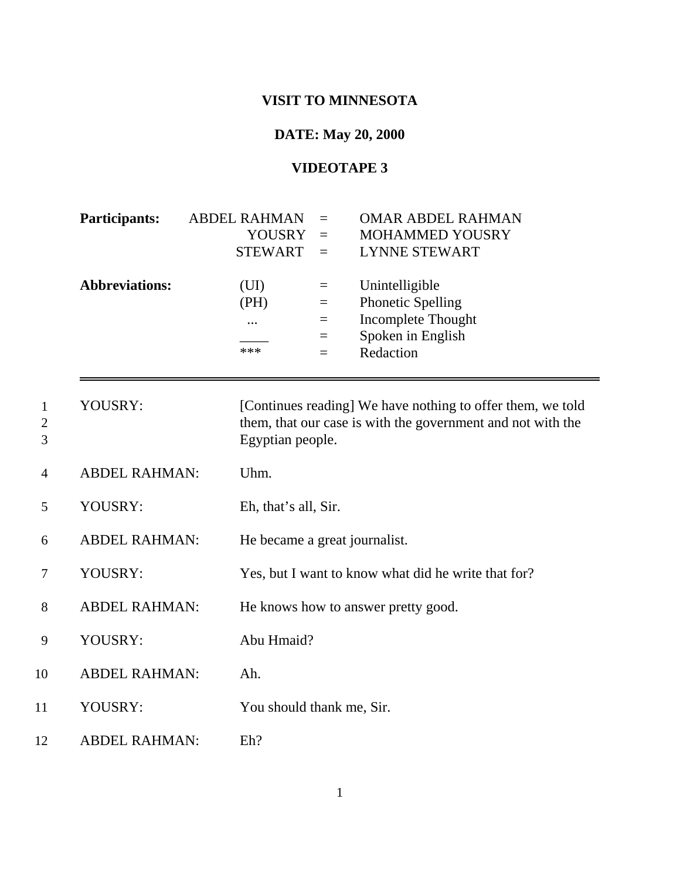## **VISIT TO MINNESOTA**

## **DATE: May 20, 2000**

## **VIDEOTAPE 3**

|                | <b>Participants:</b>  | <b>ABDEL RAHMAN</b>           | $=$      | <b>OMAR ABDEL RAHMAN</b>                                    |
|----------------|-----------------------|-------------------------------|----------|-------------------------------------------------------------|
|                |                       | <b>YOUSRY</b>                 | $=$      | <b>MOHAMMED YOUSRY</b>                                      |
|                |                       | <b>STEWART</b>                | $=$      | <b>LYNNE STEWART</b>                                        |
|                | <b>Abbreviations:</b> | (UI)                          | $\equiv$ | Unintelligible                                              |
|                |                       | (PH)                          | $=$      | <b>Phonetic Spelling</b>                                    |
|                |                       | $\cdots$                      | $=$      | Incomplete Thought                                          |
|                |                       |                               | $=$      | Spoken in English                                           |
|                |                       | ***                           | $=$      | Redaction                                                   |
|                |                       |                               |          |                                                             |
| 1              | YOUSRY:               |                               |          | [Continues reading] We have nothing to offer them, we told  |
| $\overline{c}$ |                       |                               |          | them, that our case is with the government and not with the |
| 3              |                       | Egyptian people.              |          |                                                             |
| $\overline{4}$ | <b>ABDEL RAHMAN:</b>  | Uhm.                          |          |                                                             |
|                |                       |                               |          |                                                             |
| 5              | YOUSRY:               | Eh, that's all, Sir.          |          |                                                             |
| 6              | <b>ABDEL RAHMAN:</b>  | He became a great journalist. |          |                                                             |
|                |                       |                               |          |                                                             |
| 7              | YOUSRY:               |                               |          | Yes, but I want to know what did he write that for?         |
| 8              | <b>ABDEL RAHMAN:</b>  |                               |          | He knows how to answer pretty good.                         |
|                |                       |                               |          |                                                             |
| 9              | YOUSRY:               | Abu Hmaid?                    |          |                                                             |
| 10             | <b>ABDEL RAHMAN:</b>  | Ah.                           |          |                                                             |
| 11             | YOUSRY:               | You should thank me, Sir.     |          |                                                             |
|                |                       |                               |          |                                                             |
| 12             | <b>ABDEL RAHMAN:</b>  | Eh?                           |          |                                                             |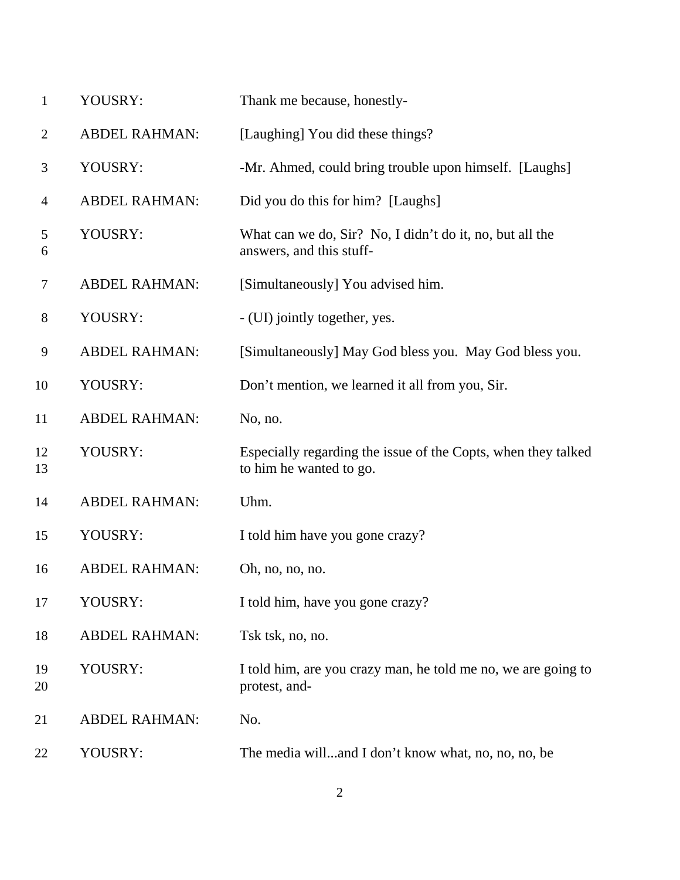| $\mathbf{1}$   | YOUSRY:              | Thank me because, honestly-                                                              |
|----------------|----------------------|------------------------------------------------------------------------------------------|
| $\overline{2}$ | <b>ABDEL RAHMAN:</b> | [Laughing] You did these things?                                                         |
| 3              | YOUSRY:              | -Mr. Ahmed, could bring trouble upon himself. [Laughs]                                   |
| 4              | <b>ABDEL RAHMAN:</b> | Did you do this for him? [Laughs]                                                        |
| 5<br>6         | YOUSRY:              | What can we do, Sir? No, I didn't do it, no, but all the<br>answers, and this stuff-     |
| 7              | <b>ABDEL RAHMAN:</b> | [Simultaneously] You advised him.                                                        |
| 8              | YOUSRY:              | - (UI) jointly together, yes.                                                            |
| 9              | <b>ABDEL RAHMAN:</b> | [Simultaneously] May God bless you. May God bless you.                                   |
| 10             | YOUSRY:              | Don't mention, we learned it all from you, Sir.                                          |
| 11             | <b>ABDEL RAHMAN:</b> | No, no.                                                                                  |
| 12<br>13       | YOUSRY:              | Especially regarding the issue of the Copts, when they talked<br>to him he wanted to go. |
| 14             | <b>ABDEL RAHMAN:</b> | Uhm.                                                                                     |
| 15             | YOUSRY:              | I told him have you gone crazy?                                                          |
| 16             | <b>ABDEL RAHMAN:</b> | Oh, no, no, no.                                                                          |
| 17             | YOUSRY:              | I told him, have you gone crazy?                                                         |
| 18             | <b>ABDEL RAHMAN:</b> | Tsk tsk, no, no.                                                                         |
| 19<br>20       | YOUSRY:              | I told him, are you crazy man, he told me no, we are going to<br>protest, and-           |
| 21             | <b>ABDEL RAHMAN:</b> | No.                                                                                      |
| 22             | YOUSRY:              | The media willand I don't know what, no, no, no, be                                      |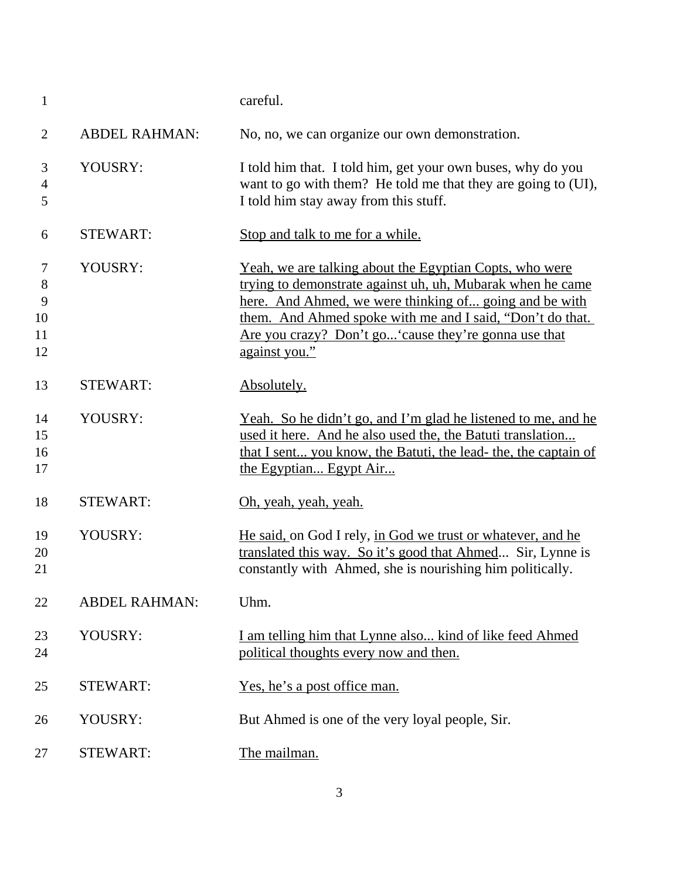| $\mathbf{1}$                       |                      | careful.                                                                                                                                                                                                                                                                                                                      |
|------------------------------------|----------------------|-------------------------------------------------------------------------------------------------------------------------------------------------------------------------------------------------------------------------------------------------------------------------------------------------------------------------------|
| $\overline{2}$                     | <b>ABDEL RAHMAN:</b> | No, no, we can organize our own demonstration.                                                                                                                                                                                                                                                                                |
| 3<br>$\overline{4}$<br>5           | YOUSRY:              | I told him that. I told him, get your own buses, why do you<br>want to go with them? He told me that they are going to (UI),<br>I told him stay away from this stuff.                                                                                                                                                         |
| 6                                  | <b>STEWART:</b>      | Stop and talk to me for a while.                                                                                                                                                                                                                                                                                              |
| $\tau$<br>8<br>9<br>10<br>11<br>12 | YOUSRY:              | <u>Yeah, we are talking about the Egyptian Copts, who were</u><br>trying to demonstrate against uh, uh, Mubarak when he came<br>here. And Ahmed, we were thinking of going and be with<br>them. And Ahmed spoke with me and I said, "Don't do that.<br>Are you crazy? Don't go 'cause they're gonna use that<br>against you." |
| 13                                 | <b>STEWART:</b>      | Absolutely.                                                                                                                                                                                                                                                                                                                   |
| 14<br>15<br>16<br>17               | YOUSRY:              | <u>Yeah. So he didn't go, and I'm glad he listened to me, and he</u><br>used it here. And he also used the, the Batuti translation<br>that I sent you know, the Batuti, the lead- the, the captain of<br>the Egyptian Egypt Air                                                                                               |
| 18                                 | <b>STEWART:</b>      | Oh, yeah, yeah, yeah.                                                                                                                                                                                                                                                                                                         |
| 19<br>20<br>21                     | YOUSRY:              | He said, on God I rely, in God we trust or whatever, and he<br>translated this way. So it's good that Ahmed Sir, Lynne is<br>constantly with Ahmed, she is nourishing him politically.                                                                                                                                        |
| 22                                 | <b>ABDEL RAHMAN:</b> | Uhm.                                                                                                                                                                                                                                                                                                                          |
| 23<br>24                           | YOUSRY:              | I am telling him that Lynne also kind of like feed Ahmed<br>political thoughts every now and then.                                                                                                                                                                                                                            |
| 25                                 | <b>STEWART:</b>      | <u>Yes, he's a post office man.</u>                                                                                                                                                                                                                                                                                           |
| 26                                 | YOUSRY:              | But Ahmed is one of the very loyal people, Sir.                                                                                                                                                                                                                                                                               |
| 27                                 | <b>STEWART:</b>      | The mailman.                                                                                                                                                                                                                                                                                                                  |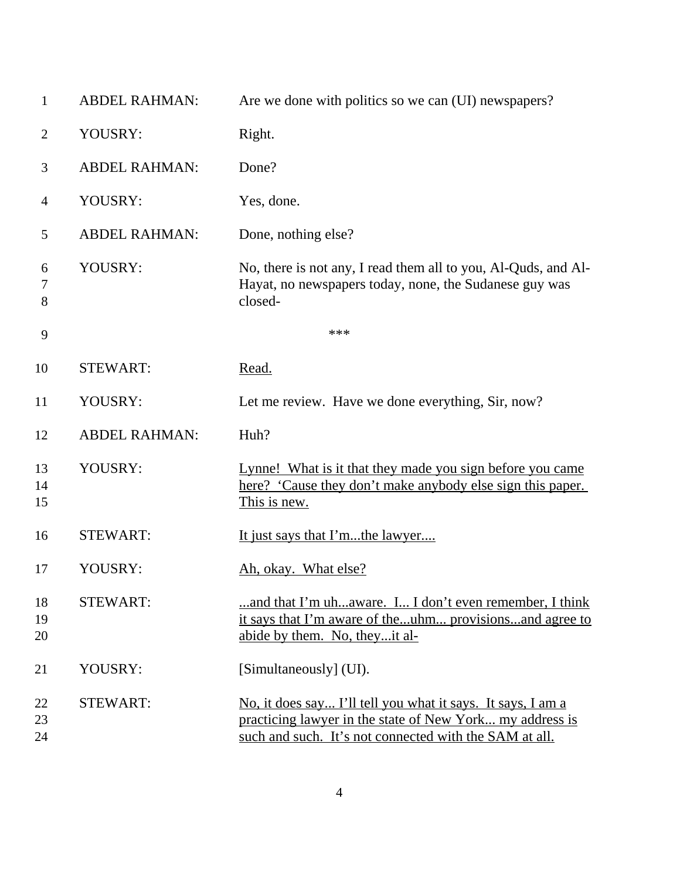| $\mathbf{1}$   | <b>ABDEL RAHMAN:</b> | Are we done with politics so we can (UI) newspapers?                                                                                                                              |
|----------------|----------------------|-----------------------------------------------------------------------------------------------------------------------------------------------------------------------------------|
| $\overline{2}$ | YOUSRY:              | Right.                                                                                                                                                                            |
| 3              | <b>ABDEL RAHMAN:</b> | Done?                                                                                                                                                                             |
| $\overline{4}$ | YOUSRY:              | Yes, done.                                                                                                                                                                        |
| 5              | <b>ABDEL RAHMAN:</b> | Done, nothing else?                                                                                                                                                               |
| 6<br>7<br>8    | YOUSRY:              | No, there is not any, I read them all to you, Al-Quds, and Al-<br>Hayat, no newspapers today, none, the Sudanese guy was<br>closed-                                               |
| 9              |                      | ***                                                                                                                                                                               |
| 10             | <b>STEWART:</b>      | Read.                                                                                                                                                                             |
| 11             | YOUSRY:              | Let me review. Have we done everything, Sir, now?                                                                                                                                 |
| 12             | <b>ABDEL RAHMAN:</b> | Huh?                                                                                                                                                                              |
| 13<br>14<br>15 | YOUSRY:              | Lynne! What is it that they made you sign before you came<br>here? 'Cause they don't make anybody else sign this paper.<br>This is new.                                           |
| 16             | <b>STEWART:</b>      | It just says that I'mthe lawyer                                                                                                                                                   |
| 17             | YOUSRY:              | Ah, okay. What else?                                                                                                                                                              |
| 18<br>19<br>20 | <b>STEWART:</b>      | and that I'm uhaware. I I don't even remember, I think<br>it says that I'm aware of theuhm provisionsand agree to<br>abide by them. No, theyit al-                                |
| 21             | YOUSRY:              | [Simultaneously] (UI).                                                                                                                                                            |
| 22<br>23<br>24 | <b>STEWART:</b>      | No, it does say I'll tell you what it says. It says, I am a<br>practicing lawyer in the state of New York my address is<br>such and such. It's not connected with the SAM at all. |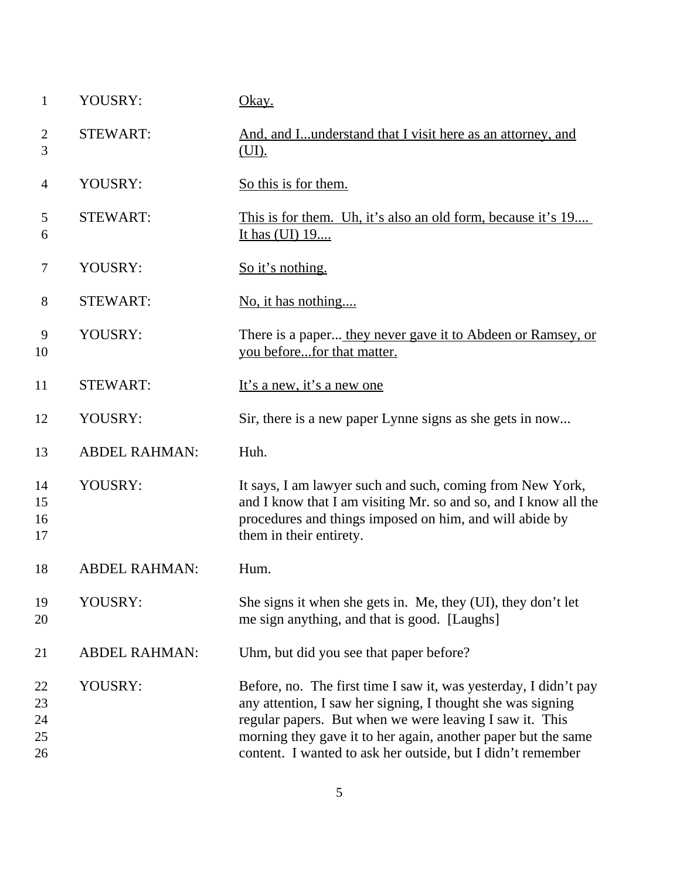| 1                          | YOUSRY:              | Okay.                                                                                                                                                                                                                                                                                                                      |
|----------------------------|----------------------|----------------------------------------------------------------------------------------------------------------------------------------------------------------------------------------------------------------------------------------------------------------------------------------------------------------------------|
| 2<br>3                     | <b>STEWART:</b>      | And, and Iunderstand that I visit here as an attorney, and<br>(UI).                                                                                                                                                                                                                                                        |
| $\overline{4}$             | YOUSRY:              | So this is for them.                                                                                                                                                                                                                                                                                                       |
| 5<br>6                     | <b>STEWART:</b>      | This is for them. Uh, it's also an old form, because it's 19<br>It has (UI) 19                                                                                                                                                                                                                                             |
| 7                          | YOUSRY:              | So it's nothing.                                                                                                                                                                                                                                                                                                           |
| 8                          | <b>STEWART:</b>      | No, it has nothing                                                                                                                                                                                                                                                                                                         |
| 9<br>10                    | YOUSRY:              | There is a paper they never gave it to Abdeen or Ramsey, or<br>you beforefor that matter.                                                                                                                                                                                                                                  |
| 11                         | <b>STEWART:</b>      | It's a new, it's a new one                                                                                                                                                                                                                                                                                                 |
| 12                         | YOUSRY:              | Sir, there is a new paper Lynne signs as she gets in now                                                                                                                                                                                                                                                                   |
| 13                         | <b>ABDEL RAHMAN:</b> | Huh.                                                                                                                                                                                                                                                                                                                       |
| 14<br>15<br>16<br>17       | YOUSRY:              | It says, I am lawyer such and such, coming from New York,<br>and I know that I am visiting Mr. so and so, and I know all the<br>procedures and things imposed on him, and will abide by<br>them in their entirety.                                                                                                         |
| 18                         | <b>ABDEL RAHMAN:</b> | Hum.                                                                                                                                                                                                                                                                                                                       |
| 19<br>20                   | YOUSRY:              | She signs it when she gets in. Me, they (UI), they don't let<br>me sign anything, and that is good. [Laughs]                                                                                                                                                                                                               |
| 21                         | <b>ABDEL RAHMAN:</b> | Uhm, but did you see that paper before?                                                                                                                                                                                                                                                                                    |
| 22<br>23<br>24<br>25<br>26 | YOUSRY:              | Before, no. The first time I saw it, was yesterday, I didn't pay<br>any attention, I saw her signing, I thought she was signing<br>regular papers. But when we were leaving I saw it. This<br>morning they gave it to her again, another paper but the same<br>content. I wanted to ask her outside, but I didn't remember |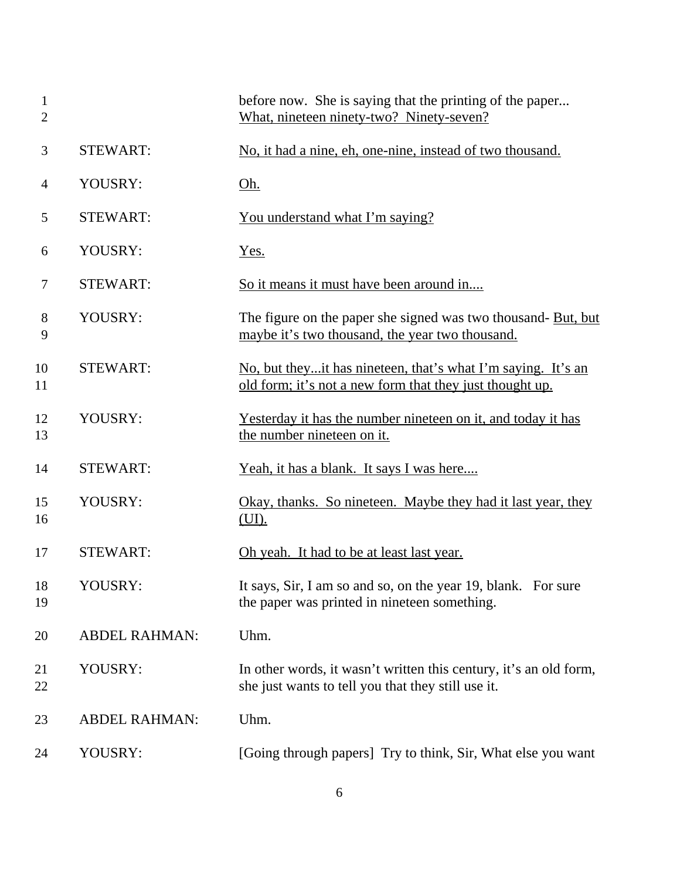| $\mathbf{1}$<br>$\overline{2}$ |                      | before now. She is saying that the printing of the paper<br>What, nineteen ninety-two? Ninety-seven?                     |
|--------------------------------|----------------------|--------------------------------------------------------------------------------------------------------------------------|
| 3                              | <b>STEWART:</b>      | No, it had a nine, eh, one-nine, instead of two thousand.                                                                |
| 4                              | YOUSRY:              | Oh.                                                                                                                      |
| 5                              | <b>STEWART:</b>      | You understand what I'm saying?                                                                                          |
| 6                              | YOUSRY:              | Yes.                                                                                                                     |
| 7                              | <b>STEWART:</b>      | So it means it must have been around in                                                                                  |
| 8<br>9                         | YOUSRY:              | The figure on the paper she signed was two thousand- But, but<br>maybe it's two thousand, the year two thousand.         |
| 10<br>11                       | <b>STEWART:</b>      | No, but theyit has nineteen, that's what I'm saying. It's an<br>old form; it's not a new form that they just thought up. |
| 12<br>13                       | YOUSRY:              | Yesterday it has the number nineteen on it, and today it has<br>the number nineteen on it.                               |
| 14                             | <b>STEWART:</b>      | Yeah, it has a blank. It says I was here                                                                                 |
| 15<br>16                       | YOUSRY:              | <u>Okay, thanks. So nineteen. Maybe they had it last year, they</u><br>(UI).                                             |
| 17                             | <b>STEWART:</b>      | <u>Oh yeah. It had to be at least last year.</u>                                                                         |
| 18<br>19                       | YOUSRY:              | It says, Sir, I am so and so, on the year 19, blank. For sure<br>the paper was printed in nineteen something.            |
| 20                             | <b>ABDEL RAHMAN:</b> | Uhm.                                                                                                                     |
| 21<br>22                       | YOUSRY:              | In other words, it wasn't written this century, it's an old form,<br>she just wants to tell you that they still use it.  |
| 23                             | <b>ABDEL RAHMAN:</b> | Uhm.                                                                                                                     |
| 24                             | YOUSRY:              | [Going through papers] Try to think, Sir, What else you want                                                             |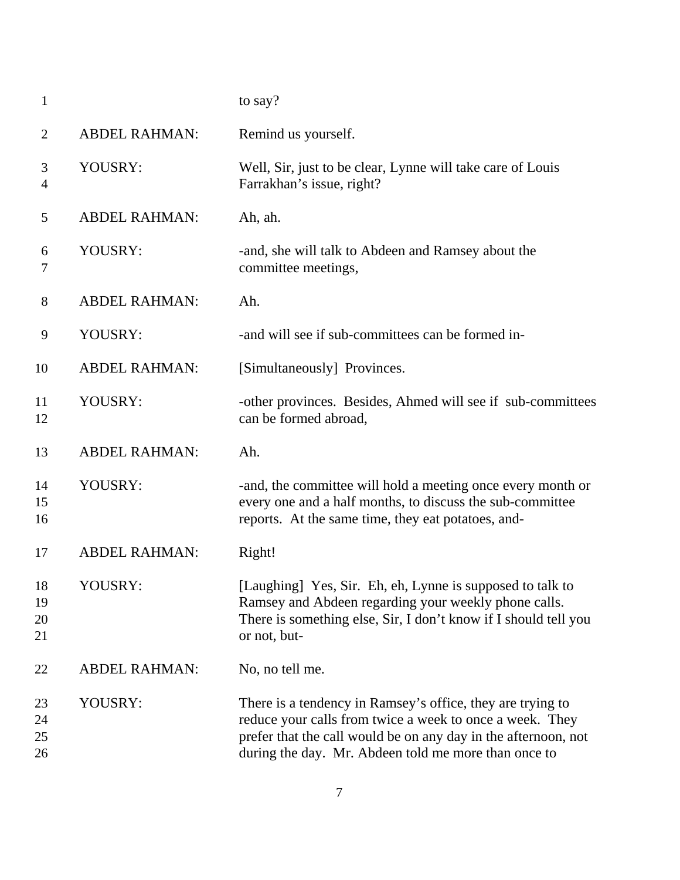| $\mathbf{1}$         |                      | to say?                                                                                                                                                                                                                                          |
|----------------------|----------------------|--------------------------------------------------------------------------------------------------------------------------------------------------------------------------------------------------------------------------------------------------|
| $\overline{2}$       | <b>ABDEL RAHMAN:</b> | Remind us yourself.                                                                                                                                                                                                                              |
| 3<br>4               | YOUSRY:              | Well, Sir, just to be clear, Lynne will take care of Louis<br>Farrakhan's issue, right?                                                                                                                                                          |
| 5                    | <b>ABDEL RAHMAN:</b> | Ah, ah.                                                                                                                                                                                                                                          |
| 6<br>7               | YOUSRY:              | -and, she will talk to Abdeen and Ramsey about the<br>committee meetings,                                                                                                                                                                        |
| 8                    | <b>ABDEL RAHMAN:</b> | Ah.                                                                                                                                                                                                                                              |
| 9                    | YOUSRY:              | -and will see if sub-committees can be formed in-                                                                                                                                                                                                |
| 10                   | <b>ABDEL RAHMAN:</b> | [Simultaneously] Provinces.                                                                                                                                                                                                                      |
| 11<br>12             | YOUSRY:              | -other provinces. Besides, Ahmed will see if sub-committees<br>can be formed abroad,                                                                                                                                                             |
| 13                   | <b>ABDEL RAHMAN:</b> | Ah.                                                                                                                                                                                                                                              |
| 14<br>15<br>16       | YOUSRY:              | -and, the committee will hold a meeting once every month or<br>every one and a half months, to discuss the sub-committee<br>reports. At the same time, they eat potatoes, and-                                                                   |
| 17                   | <b>ABDEL RAHMAN:</b> | Right!                                                                                                                                                                                                                                           |
| 18<br>19<br>20<br>21 | YOUSRY:              | [Laughing] Yes, Sir. Eh, eh, Lynne is supposed to talk to<br>Ramsey and Abdeen regarding your weekly phone calls.<br>There is something else, Sir, I don't know if I should tell you<br>or not, but-                                             |
| 22                   | <b>ABDEL RAHMAN:</b> | No, no tell me.                                                                                                                                                                                                                                  |
| 23<br>24<br>25<br>26 | YOUSRY:              | There is a tendency in Ramsey's office, they are trying to<br>reduce your calls from twice a week to once a week. They<br>prefer that the call would be on any day in the afternoon, not<br>during the day. Mr. Abdeen told me more than once to |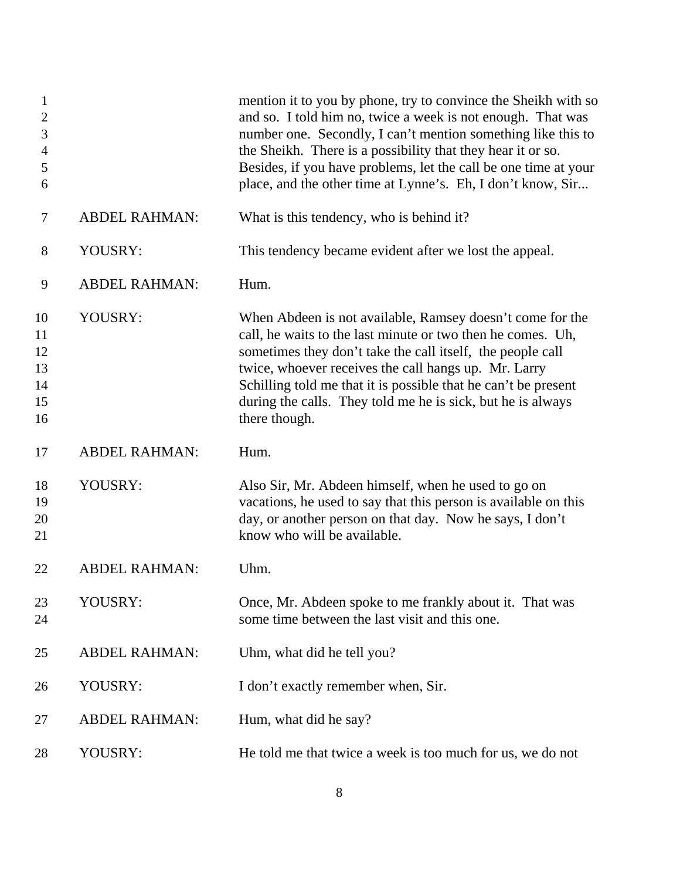| 1<br>$\overline{2}$<br>3<br>$\overline{4}$<br>5<br>6 |                      | mention it to you by phone, try to convince the Sheikh with so<br>and so. I told him no, twice a week is not enough. That was<br>number one. Secondly, I can't mention something like this to<br>the Sheikh. There is a possibility that they hear it or so.<br>Besides, if you have problems, let the call be one time at your<br>place, and the other time at Lynne's. Eh, I don't know, Sir   |
|------------------------------------------------------|----------------------|--------------------------------------------------------------------------------------------------------------------------------------------------------------------------------------------------------------------------------------------------------------------------------------------------------------------------------------------------------------------------------------------------|
| $\tau$                                               | <b>ABDEL RAHMAN:</b> | What is this tendency, who is behind it?                                                                                                                                                                                                                                                                                                                                                         |
| 8                                                    | YOUSRY:              | This tendency became evident after we lost the appeal.                                                                                                                                                                                                                                                                                                                                           |
| 9                                                    | <b>ABDEL RAHMAN:</b> | Hum.                                                                                                                                                                                                                                                                                                                                                                                             |
| 10<br>11<br>12<br>13<br>14<br>15<br>16               | YOUSRY:              | When Abdeen is not available, Ramsey doesn't come for the<br>call, he waits to the last minute or two then he comes. Uh,<br>sometimes they don't take the call itself, the people call<br>twice, whoever receives the call hangs up. Mr. Larry<br>Schilling told me that it is possible that he can't be present<br>during the calls. They told me he is sick, but he is always<br>there though. |
| 17                                                   | <b>ABDEL RAHMAN:</b> | Hum.                                                                                                                                                                                                                                                                                                                                                                                             |
| 18<br>19<br>20<br>21                                 | YOUSRY:              | Also Sir, Mr. Abdeen himself, when he used to go on<br>vacations, he used to say that this person is available on this<br>day, or another person on that day. Now he says, I don't<br>know who will be available.                                                                                                                                                                                |
| 22                                                   | <b>ABDEL RAHMAN:</b> | Uhm.                                                                                                                                                                                                                                                                                                                                                                                             |
| 23<br>24                                             | YOUSRY:              | Once, Mr. Abdeen spoke to me frankly about it. That was<br>some time between the last visit and this one.                                                                                                                                                                                                                                                                                        |
| 25                                                   | <b>ABDEL RAHMAN:</b> | Uhm, what did he tell you?                                                                                                                                                                                                                                                                                                                                                                       |
| 26                                                   | YOUSRY:              | I don't exactly remember when, Sir.                                                                                                                                                                                                                                                                                                                                                              |
| 27                                                   | <b>ABDEL RAHMAN:</b> | Hum, what did he say?                                                                                                                                                                                                                                                                                                                                                                            |
| 28                                                   | YOUSRY:              | He told me that twice a week is too much for us, we do not                                                                                                                                                                                                                                                                                                                                       |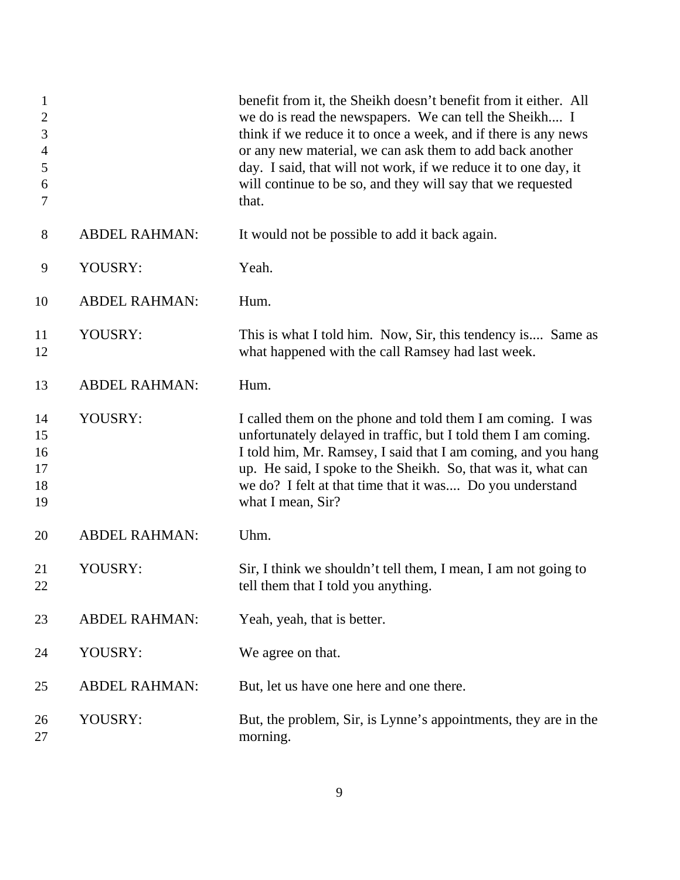| $\mathbf{1}$<br>$\overline{2}$<br>$\mathfrak{Z}$<br>$\overline{4}$<br>$\mathfrak s$<br>6<br>7 |                      | benefit from it, the Sheikh doesn't benefit from it either. All<br>we do is read the newspapers. We can tell the Sheikh I<br>think if we reduce it to once a week, and if there is any news<br>or any new material, we can ask them to add back another<br>day. I said, that will not work, if we reduce it to one day, it<br>will continue to be so, and they will say that we requested<br>that. |
|-----------------------------------------------------------------------------------------------|----------------------|----------------------------------------------------------------------------------------------------------------------------------------------------------------------------------------------------------------------------------------------------------------------------------------------------------------------------------------------------------------------------------------------------|
| 8                                                                                             | <b>ABDEL RAHMAN:</b> | It would not be possible to add it back again.                                                                                                                                                                                                                                                                                                                                                     |
| 9                                                                                             | YOUSRY:              | Yeah.                                                                                                                                                                                                                                                                                                                                                                                              |
| 10                                                                                            | <b>ABDEL RAHMAN:</b> | Hum.                                                                                                                                                                                                                                                                                                                                                                                               |
| 11<br>12                                                                                      | YOUSRY:              | This is what I told him. Now, Sir, this tendency is Same as<br>what happened with the call Ramsey had last week.                                                                                                                                                                                                                                                                                   |
| 13                                                                                            | <b>ABDEL RAHMAN:</b> | Hum.                                                                                                                                                                                                                                                                                                                                                                                               |
| 14<br>15<br>16<br>17<br>18<br>19                                                              | YOUSRY:              | I called them on the phone and told them I am coming. I was<br>unfortunately delayed in traffic, but I told them I am coming.<br>I told him, Mr. Ramsey, I said that I am coming, and you hang<br>up. He said, I spoke to the Sheikh. So, that was it, what can<br>we do? I felt at that time that it was Do you understand<br>what I mean, Sir?                                                   |
| 20                                                                                            | <b>ABDEL RAHMAN:</b> | Uhm.                                                                                                                                                                                                                                                                                                                                                                                               |
| 21<br>22                                                                                      | YOUSRY:              | Sir, I think we shouldn't tell them, I mean, I am not going to<br>tell them that I told you anything.                                                                                                                                                                                                                                                                                              |
| 23                                                                                            | <b>ABDEL RAHMAN:</b> | Yeah, yeah, that is better.                                                                                                                                                                                                                                                                                                                                                                        |
| 24                                                                                            | YOUSRY:              | We agree on that.                                                                                                                                                                                                                                                                                                                                                                                  |
| 25                                                                                            | <b>ABDEL RAHMAN:</b> | But, let us have one here and one there.                                                                                                                                                                                                                                                                                                                                                           |
| 26<br>27                                                                                      | YOUSRY:              | But, the problem, Sir, is Lynne's appointments, they are in the<br>morning.                                                                                                                                                                                                                                                                                                                        |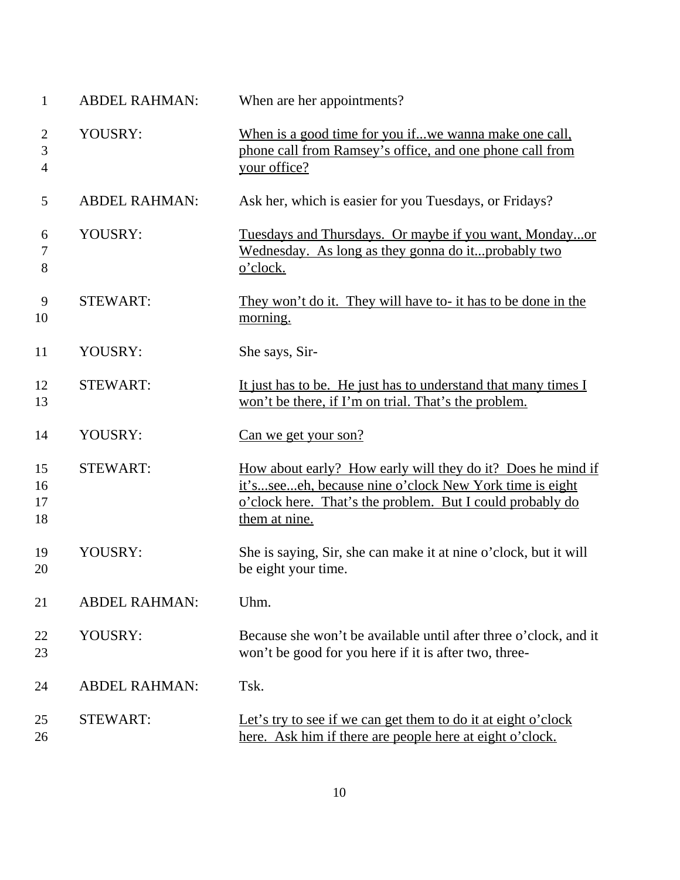| $\mathbf{1}$                          | <b>ABDEL RAHMAN:</b> | When are her appointments?                                                                                                                                                                          |
|---------------------------------------|----------------------|-----------------------------------------------------------------------------------------------------------------------------------------------------------------------------------------------------|
| $\overline{2}$<br>3<br>$\overline{4}$ | YOUSRY:              | When is a good time for you ifwe wanna make one call,<br>phone call from Ramsey's office, and one phone call from<br>your office?                                                                   |
| 5                                     | <b>ABDEL RAHMAN:</b> | Ask her, which is easier for you Tuesdays, or Fridays?                                                                                                                                              |
| 6<br>7<br>8                           | YOUSRY:              | Tuesdays and Thursdays. Or maybe if you want, Mondayor<br>Wednesday. As long as they gonna do itprobably two<br>o'clock.                                                                            |
| 9<br>10                               | <b>STEWART:</b>      | They won't do it. They will have to- it has to be done in the<br>morning.                                                                                                                           |
| 11                                    | YOUSRY:              | She says, Sir-                                                                                                                                                                                      |
| 12<br>13                              | <b>STEWART:</b>      | It just has to be. He just has to understand that many times I<br>won't be there, if I'm on trial. That's the problem.                                                                              |
| 14                                    | YOUSRY:              | Can we get your son?                                                                                                                                                                                |
| 15<br>16<br>17<br>18                  | <b>STEWART:</b>      | How about early? How early will they do it? Does he mind if<br>it'sseeeh, because nine o'clock New York time is eight<br>o'clock here. That's the problem. But I could probably do<br>them at nine. |
| 19<br>20                              | YOUSRY:              | She is saying, Sir, she can make it at nine o'clock, but it will<br>be eight your time.                                                                                                             |
| 21                                    | <b>ABDEL RAHMAN:</b> | Uhm.                                                                                                                                                                                                |
| 22<br>23                              | YOUSRY:              | Because she won't be available until after three o'clock, and it<br>won't be good for you here if it is after two, three-                                                                           |
| 24                                    | <b>ABDEL RAHMAN:</b> | Tsk.                                                                                                                                                                                                |
| 25<br>26                              | <b>STEWART:</b>      | Let's try to see if we can get them to do it at eight o'clock<br>here. Ask him if there are people here at eight o'clock.                                                                           |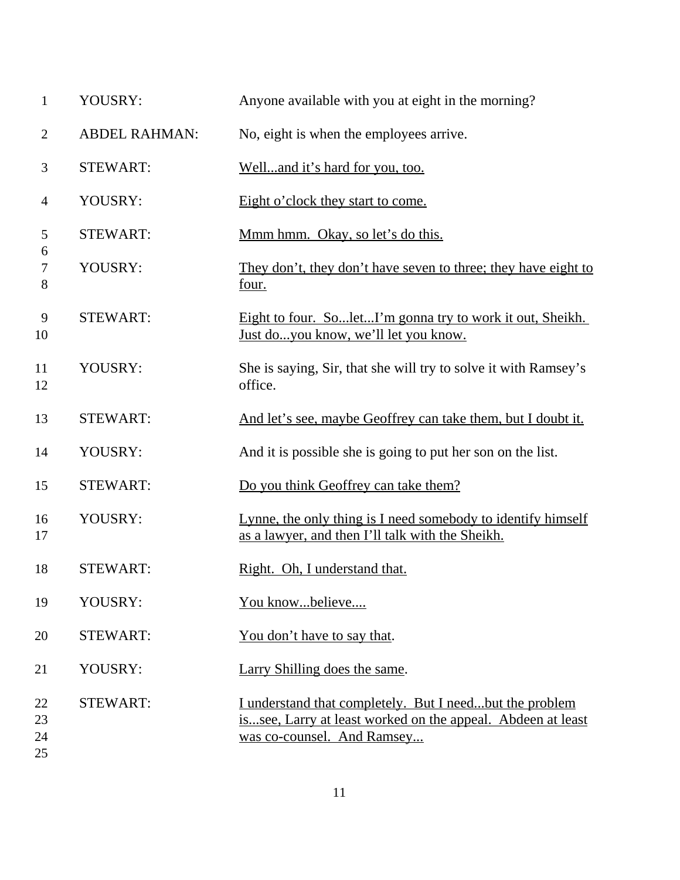| $\mathbf{1}$         | YOUSRY:              | Anyone available with you at eight in the morning?                                                                                                   |
|----------------------|----------------------|------------------------------------------------------------------------------------------------------------------------------------------------------|
| $\overline{2}$       | <b>ABDEL RAHMAN:</b> | No, eight is when the employees arrive.                                                                                                              |
| 3                    | <b>STEWART:</b>      | Welland it's hard for you, too.                                                                                                                      |
| $\overline{4}$       | YOUSRY:              | Eight o'clock they start to come.                                                                                                                    |
| 5                    | <b>STEWART:</b>      | Mmm hmm. Okay, so let's do this.                                                                                                                     |
| 6<br>$\tau$<br>8     | YOUSRY:              | They don't, they don't have seven to three; they have eight to<br><u>four.</u>                                                                       |
| 9<br>10              | <b>STEWART:</b>      | Eight to four. So let I'm gonna try to work it out, Sheikh.<br>Just doyou know, we'll let you know.                                                  |
| 11<br>12             | YOUSRY:              | She is saying, Sir, that she will try to solve it with Ramsey's<br>office.                                                                           |
| 13                   | <b>STEWART:</b>      | And let's see, maybe Geoffrey can take them, but I doubt it.                                                                                         |
| 14                   | YOUSRY:              | And it is possible she is going to put her son on the list.                                                                                          |
| 15                   | <b>STEWART:</b>      | Do you think Geoffrey can take them?                                                                                                                 |
| 16<br>17             | YOUSRY:              | Lynne, the only thing is I need somebody to identify himself<br>as a lawyer, and then I'll talk with the Sheikh.                                     |
| 18                   | <b>STEWART:</b>      | Right. Oh, I understand that.                                                                                                                        |
| 19                   | YOUSRY:              | You knowbelieve                                                                                                                                      |
| 20                   | <b>STEWART:</b>      | You don't have to say that.                                                                                                                          |
| 21                   | YOUSRY:              | Larry Shilling does the same.                                                                                                                        |
| 22<br>23<br>24<br>25 | <b>STEWART:</b>      | I understand that completely. But I needbut the problem<br>issee, Larry at least worked on the appeal. Abdeen at least<br>was co-counsel. And Ramsey |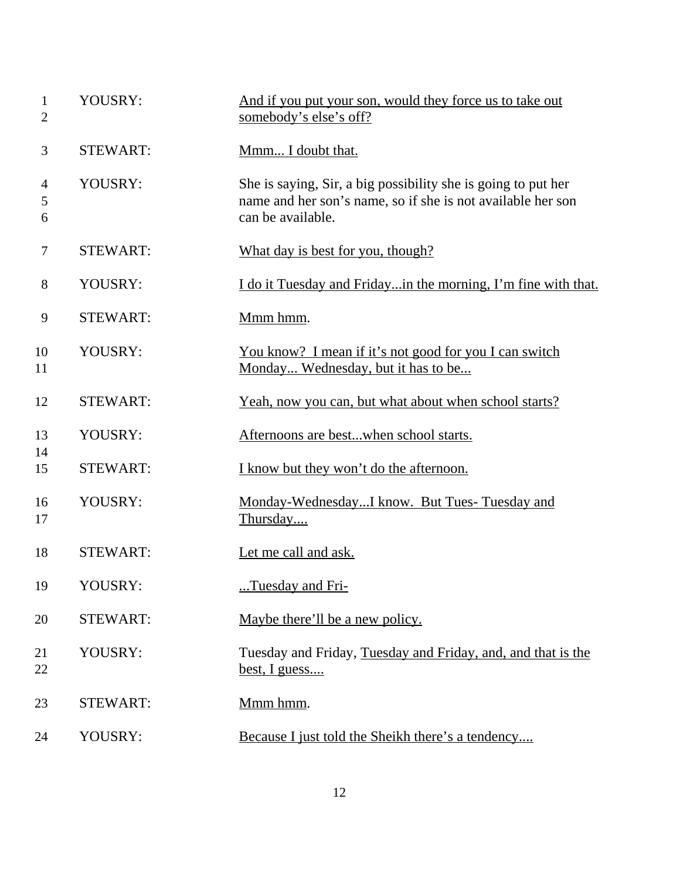| $\mathbf{1}$<br>$\overline{2}$ | YOUSRY:         | And if you put your son, would they force us to take out<br>somebody's else's off?                                                                |
|--------------------------------|-----------------|---------------------------------------------------------------------------------------------------------------------------------------------------|
| 3                              | <b>STEWART:</b> | Mmm I doubt that.                                                                                                                                 |
| 4<br>5<br>6                    | YOUSRY:         | She is saying, Sir, a big possibility she is going to put her<br>name and her son's name, so if she is not available her son<br>can be available. |
| 7                              | <b>STEWART:</b> | What day is best for you, though?                                                                                                                 |
| 8                              | YOUSRY:         | <u>I do it Tuesday and Friday in the morning, I'm fine with that.</u>                                                                             |
| 9                              | <b>STEWART:</b> | Mmm hmm.                                                                                                                                          |
| 10<br>11                       | YOUSRY:         | <u>You know? I mean if it's not good for you I can switch</u><br>Monday Wednesday, but it has to be                                               |
| 12                             | <b>STEWART:</b> | Yeah, now you can, but what about when school starts?                                                                                             |
| 13                             | YOUSRY:         | Afternoons are bestwhen school starts.                                                                                                            |
| 14<br>15                       | <b>STEWART:</b> | I know but they won't do the afternoon.                                                                                                           |
| 16<br>17                       | YOUSRY:         | Monday-WednesdayI know. But Tues-Tuesday and<br>Thursday                                                                                          |
| 18                             | <b>STEWART:</b> | Let me call and ask.                                                                                                                              |
| 19                             | YOUSRY:         | Tuesday and Fri-                                                                                                                                  |
| 20                             | <b>STEWART:</b> | Maybe there'll be a new policy.                                                                                                                   |
| 21<br>22                       | YOUSRY:         | Tuesday and Friday, Tuesday and Friday, and, and that is the<br>best, I guess                                                                     |
| 23                             | <b>STEWART:</b> | Mmm hmm.                                                                                                                                          |
| 24                             | YOUSRY:         | Because I just told the Sheikh there's a tendency                                                                                                 |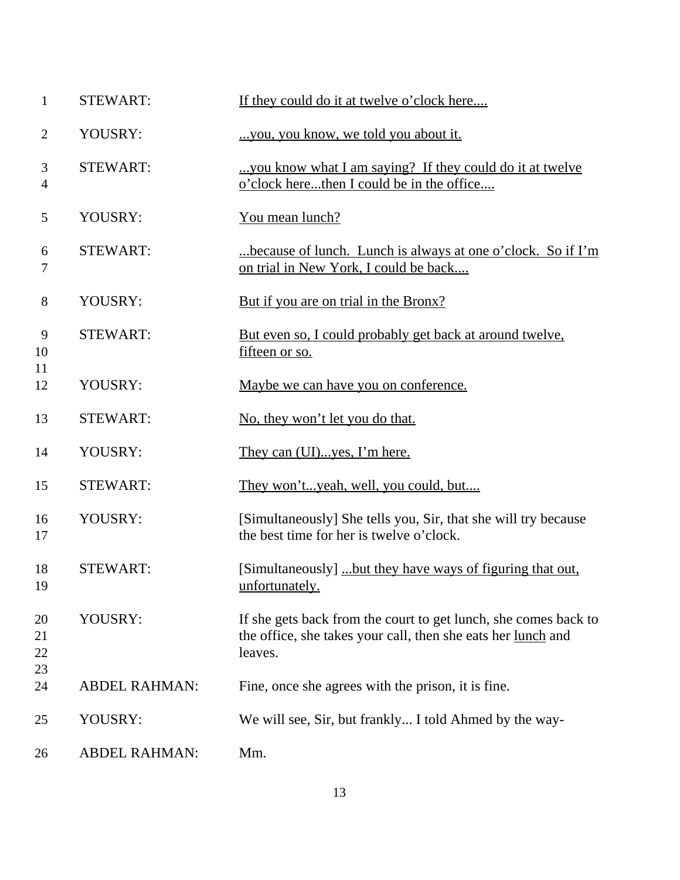| $\mathbf{1}$        | <b>STEWART:</b>      | If they could do it at twelve o'clock here                                                                                                 |
|---------------------|----------------------|--------------------------------------------------------------------------------------------------------------------------------------------|
| $\overline{2}$      | YOUSRY:              | you, you know, we told you about it.                                                                                                       |
| 3<br>$\overline{4}$ | <b>STEWART:</b>      | you know what I am saying? If they could do it at twelve<br>o'clock herethen I could be in the office                                      |
| 5                   | YOUSRY:              | You mean lunch?                                                                                                                            |
| 6<br>7              | <b>STEWART:</b>      | because of lunch. Lunch is always at one o'clock. So if I'm<br>on trial in New York, I could be back                                       |
| 8                   | YOUSRY:              | But if you are on trial in the Bronx?                                                                                                      |
| 9<br>10             | <b>STEWART:</b>      | But even so, I could probably get back at around twelve,<br>fifteen or so.                                                                 |
| 11<br>12            | YOUSRY:              | Maybe we can have you on conference.                                                                                                       |
| 13                  | <b>STEWART:</b>      | No, they won't let you do that.                                                                                                            |
| 14                  | YOUSRY:              | They can (UI)yes, I'm here.                                                                                                                |
| 15                  | <b>STEWART:</b>      | They won'tyeah, well, you could, but                                                                                                       |
| 16<br>17            | YOUSRY:              | [Simultaneously] She tells you, Sir, that she will try because<br>the best time for her is twelve o'clock.                                 |
| 18<br>19            | <b>STEWART:</b>      | [Simultaneously] but they have ways of figuring that out,<br><u>unfortunately.</u>                                                         |
| 20<br>21<br>22      | YOUSRY:              | If she gets back from the court to get lunch, she comes back to<br>the office, she takes your call, then she eats her lunch and<br>leaves. |
| 23<br>24            | <b>ABDEL RAHMAN:</b> | Fine, once she agrees with the prison, it is fine.                                                                                         |
| 25                  | YOUSRY:              | We will see, Sir, but frankly I told Ahmed by the way-                                                                                     |
| 26                  | <b>ABDEL RAHMAN:</b> | Mm.                                                                                                                                        |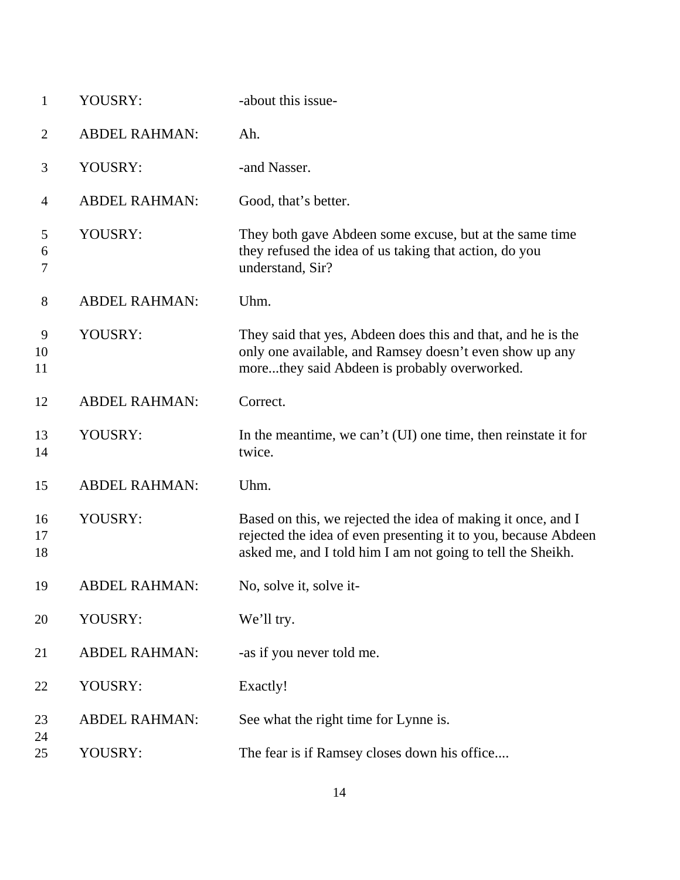| $\mathbf{1}$   | YOUSRY:              | -about this issue-                                                                                                                                                                            |
|----------------|----------------------|-----------------------------------------------------------------------------------------------------------------------------------------------------------------------------------------------|
| $\overline{2}$ | <b>ABDEL RAHMAN:</b> | Ah.                                                                                                                                                                                           |
| 3              | YOUSRY:              | -and Nasser.                                                                                                                                                                                  |
| $\overline{4}$ | <b>ABDEL RAHMAN:</b> | Good, that's better.                                                                                                                                                                          |
| 5<br>6<br>7    | YOUSRY:              | They both gave Abdeen some excuse, but at the same time<br>they refused the idea of us taking that action, do you<br>understand, Sir?                                                         |
| 8              | <b>ABDEL RAHMAN:</b> | Uhm.                                                                                                                                                                                          |
| 9<br>10<br>11  | YOUSRY:              | They said that yes, Abdeen does this and that, and he is the<br>only one available, and Ramsey doesn't even show up any<br>morethey said Abdeen is probably overworked.                       |
| 12             | <b>ABDEL RAHMAN:</b> | Correct.                                                                                                                                                                                      |
| 13<br>14       | YOUSRY:              | In the meantime, we can't (UI) one time, then reinstate it for<br>twice.                                                                                                                      |
| 15             | <b>ABDEL RAHMAN:</b> | Uhm.                                                                                                                                                                                          |
| 16<br>17<br>18 | YOUSRY:              | Based on this, we rejected the idea of making it once, and I<br>rejected the idea of even presenting it to you, because Abdeen<br>asked me, and I told him I am not going to tell the Sheikh. |
| 19             | <b>ABDEL RAHMAN:</b> | No, solve it, solve it-                                                                                                                                                                       |
| 20             | YOUSRY:              | We'll try.                                                                                                                                                                                    |
| 21             | <b>ABDEL RAHMAN:</b> | -as if you never told me.                                                                                                                                                                     |
| 22             | YOUSRY:              | Exactly!                                                                                                                                                                                      |
| 23<br>24       | <b>ABDEL RAHMAN:</b> | See what the right time for Lynne is.                                                                                                                                                         |
| 25             | YOUSRY:              | The fear is if Ramsey closes down his office                                                                                                                                                  |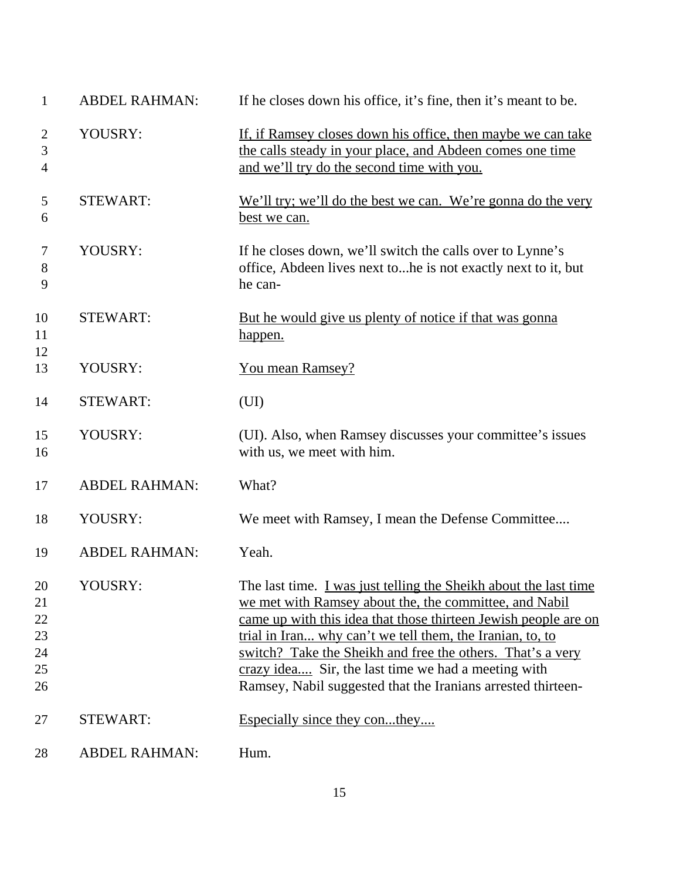| $\mathbf{1}$                           | <b>ABDEL RAHMAN:</b> | If he closes down his office, it's fine, then it's meant to be.                                                                                                                                                                                                                                                                                                                                                                                 |
|----------------------------------------|----------------------|-------------------------------------------------------------------------------------------------------------------------------------------------------------------------------------------------------------------------------------------------------------------------------------------------------------------------------------------------------------------------------------------------------------------------------------------------|
| $\overline{2}$<br>3<br>4               | YOUSRY:              | If, if Ramsey closes down his office, then maybe we can take<br>the calls steady in your place, and Abdeen comes one time<br>and we'll try do the second time with you.                                                                                                                                                                                                                                                                         |
| 5<br>6                                 | <b>STEWART:</b>      | We'll try; we'll do the best we can. We're gonna do the very<br>best we can.                                                                                                                                                                                                                                                                                                                                                                    |
| $\tau$<br>8<br>9                       | YOUSRY:              | If he closes down, we'll switch the calls over to Lynne's<br>office, Abdeen lives next tohe is not exactly next to it, but<br>he can-                                                                                                                                                                                                                                                                                                           |
| 10<br>11<br>12                         | <b>STEWART:</b>      | But he would give us plenty of notice if that was gonna<br>happen.                                                                                                                                                                                                                                                                                                                                                                              |
| 13                                     | YOUSRY:              | You mean Ramsey?                                                                                                                                                                                                                                                                                                                                                                                                                                |
| 14                                     | <b>STEWART:</b>      | (UI)                                                                                                                                                                                                                                                                                                                                                                                                                                            |
| 15<br>16                               | YOUSRY:              | (UI). Also, when Ramsey discusses your committee's issues<br>with us, we meet with him.                                                                                                                                                                                                                                                                                                                                                         |
| 17                                     | <b>ABDEL RAHMAN:</b> | What?                                                                                                                                                                                                                                                                                                                                                                                                                                           |
| 18                                     | YOUSRY:              | We meet with Ramsey, I mean the Defense Committee                                                                                                                                                                                                                                                                                                                                                                                               |
| 19                                     | <b>ABDEL RAHMAN:</b> | Yeah.                                                                                                                                                                                                                                                                                                                                                                                                                                           |
| 20<br>21<br>22<br>23<br>24<br>25<br>26 | YOUSRY:              | The last time. I was just telling the Sheikh about the last time<br>we met with Ramsey about the, the committee, and Nabil<br>came up with this idea that those thirteen Jewish people are on<br>trial in Iran why can't we tell them, the Iranian, to, to<br>switch? Take the Sheikh and free the others. That's a very<br>crazy idea Sir, the last time we had a meeting with<br>Ramsey, Nabil suggested that the Iranians arrested thirteen- |
| 27                                     | <b>STEWART:</b>      | Especially since they conthey                                                                                                                                                                                                                                                                                                                                                                                                                   |
| 28                                     | <b>ABDEL RAHMAN:</b> | Hum.                                                                                                                                                                                                                                                                                                                                                                                                                                            |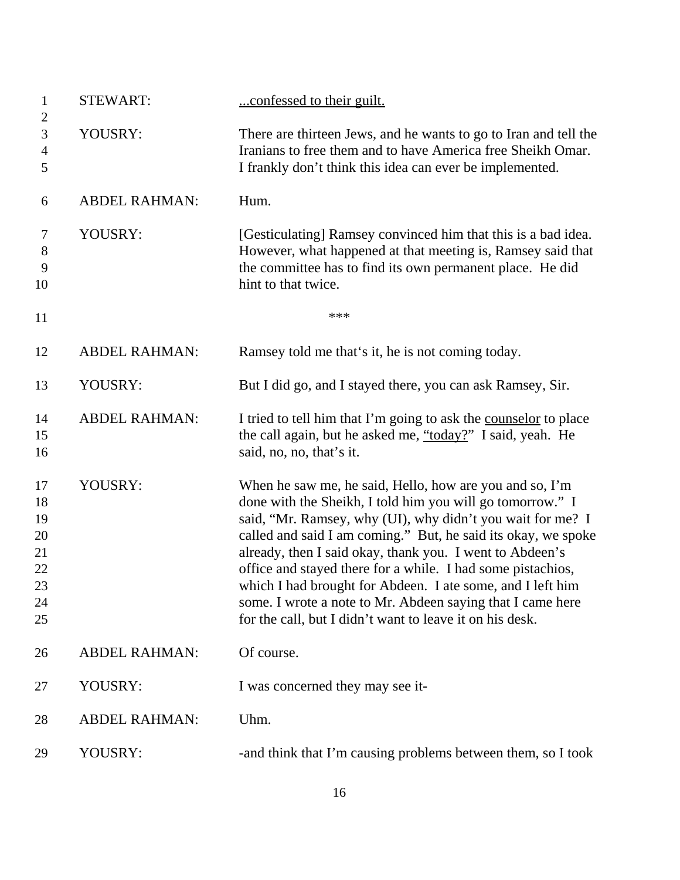| $\mathbf{1}$<br>$\overline{2}$                     | <b>STEWART:</b>      | confessed to their guilt.                                                                                                                                                                                                                                                                                                                                                                                                                                                                                                                                              |
|----------------------------------------------------|----------------------|------------------------------------------------------------------------------------------------------------------------------------------------------------------------------------------------------------------------------------------------------------------------------------------------------------------------------------------------------------------------------------------------------------------------------------------------------------------------------------------------------------------------------------------------------------------------|
| 3<br>4<br>5                                        | YOUSRY:              | There are thirteen Jews, and he wants to go to Iran and tell the<br>Iranians to free them and to have America free Sheikh Omar.<br>I frankly don't think this idea can ever be implemented.                                                                                                                                                                                                                                                                                                                                                                            |
| 6                                                  | <b>ABDEL RAHMAN:</b> | Hum.                                                                                                                                                                                                                                                                                                                                                                                                                                                                                                                                                                   |
| 7<br>$8\,$<br>9<br>10                              | YOUSRY:              | [Gesticulating] Ramsey convinced him that this is a bad idea.<br>However, what happened at that meeting is, Ramsey said that<br>the committee has to find its own permanent place. He did<br>hint to that twice.                                                                                                                                                                                                                                                                                                                                                       |
| 11                                                 |                      | ***                                                                                                                                                                                                                                                                                                                                                                                                                                                                                                                                                                    |
| 12                                                 | <b>ABDEL RAHMAN:</b> | Ramsey told me that's it, he is not coming today.                                                                                                                                                                                                                                                                                                                                                                                                                                                                                                                      |
| 13                                                 | YOUSRY:              | But I did go, and I stayed there, you can ask Ramsey, Sir.                                                                                                                                                                                                                                                                                                                                                                                                                                                                                                             |
| 14<br>15<br>16                                     | <b>ABDEL RAHMAN:</b> | I tried to tell him that I'm going to ask the counselor to place<br>the call again, but he asked me, "today?" I said, yeah. He<br>said, no, no, that's it.                                                                                                                                                                                                                                                                                                                                                                                                             |
| 17<br>18<br>19<br>20<br>21<br>22<br>23<br>24<br>25 | YOUSRY:              | When he saw me, he said, Hello, how are you and so, I'm<br>done with the Sheikh, I told him you will go tomorrow." I<br>said, "Mr. Ramsey, why (UI), why didn't you wait for me? I<br>called and said I am coming." But, he said its okay, we spoke<br>already, then I said okay, thank you. I went to Abdeen's<br>office and stayed there for a while. I had some pistachios,<br>which I had brought for Abdeen. I ate some, and I left him<br>some. I wrote a note to Mr. Abdeen saying that I came here<br>for the call, but I didn't want to leave it on his desk. |
| 26                                                 | <b>ABDEL RAHMAN:</b> | Of course.                                                                                                                                                                                                                                                                                                                                                                                                                                                                                                                                                             |
| 27                                                 | YOUSRY:              | I was concerned they may see it-                                                                                                                                                                                                                                                                                                                                                                                                                                                                                                                                       |
| 28                                                 | <b>ABDEL RAHMAN:</b> | Uhm.                                                                                                                                                                                                                                                                                                                                                                                                                                                                                                                                                                   |
| 29                                                 | YOUSRY:              | -and think that I'm causing problems between them, so I took                                                                                                                                                                                                                                                                                                                                                                                                                                                                                                           |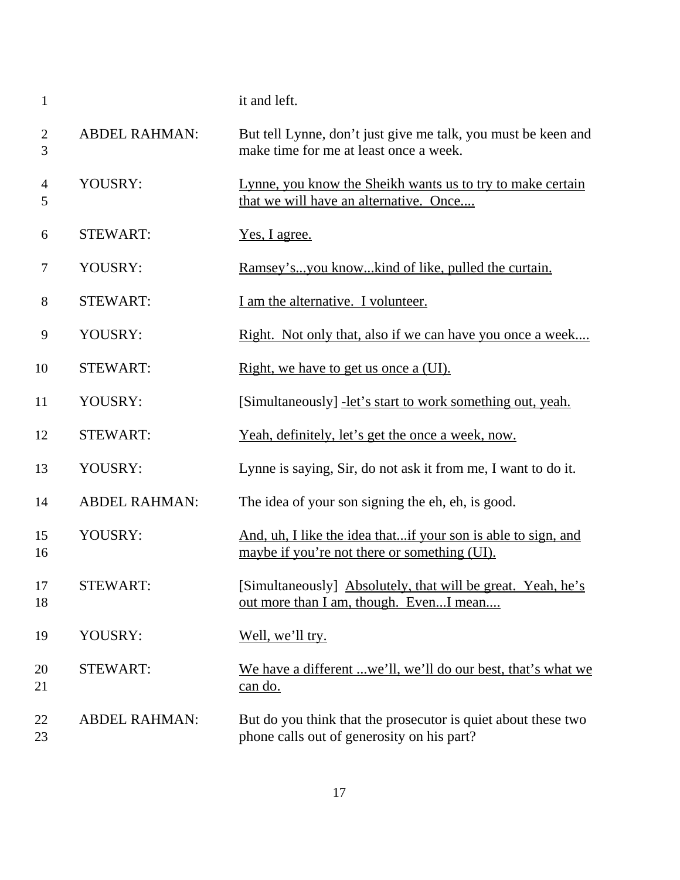| $\mathbf{1}$        |                      | it and left.                                                                                                  |
|---------------------|----------------------|---------------------------------------------------------------------------------------------------------------|
| $\overline{c}$<br>3 | <b>ABDEL RAHMAN:</b> | But tell Lynne, don't just give me talk, you must be keen and<br>make time for me at least once a week.       |
| 4<br>5              | YOUSRY:              | Lynne, you know the Sheikh wants us to try to make certain<br>that we will have an alternative. Once          |
| 6                   | <b>STEWART:</b>      | Yes, I agree.                                                                                                 |
| 7                   | YOUSRY:              | <u>Ramsey'syou knowkind of like, pulled the curtain.</u>                                                      |
| 8                   | <b>STEWART:</b>      | I am the alternative. I volunteer.                                                                            |
| 9                   | YOUSRY:              | <u>Right. Not only that, also if we can have you once a week</u>                                              |
| 10                  | <b>STEWART:</b>      | Right, we have to get us once a (UI).                                                                         |
| 11                  | YOUSRY:              | [Simultaneously] -let's start to work something out, yeah.                                                    |
| 12                  | <b>STEWART:</b>      | <u>Yeah, definitely, let's get the once a week, now.</u>                                                      |
| 13                  | YOUSRY:              | Lynne is saying, Sir, do not ask it from me, I want to do it.                                                 |
| 14                  | <b>ABDEL RAHMAN:</b> | The idea of your son signing the eh, eh, is good.                                                             |
| 15<br>16            | YOUSRY:              | And, uh, I like the idea thatif your son is able to sign, and<br>maybe if you're not there or something (UI). |
| 17<br>18            | <b>STEWART:</b>      | [Simultaneously] Absolutely, that will be great. Yeah, he's<br>out more than I am, though. EvenI mean         |
| 19                  | YOUSRY:              | Well, we'll try.                                                                                              |
| 20<br>21            | <b>STEWART:</b>      | We have a different  we'll, we'll do our best, that's what we<br>can do.                                      |
| 22<br>23            | <b>ABDEL RAHMAN:</b> | But do you think that the prosecutor is quiet about these two<br>phone calls out of generosity on his part?   |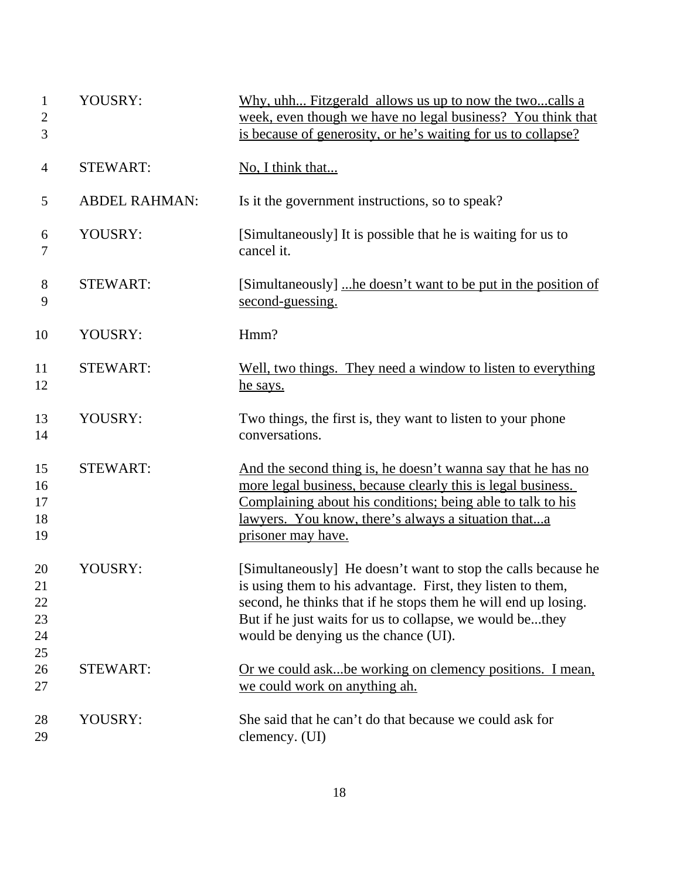| $\mathbf{1}$<br>$\overline{2}$<br>3 | YOUSRY:              | Why, uhh Fitzgerald allows us up to now the twocalls a<br>week, even though we have no legal business? You think that<br>is because of generosity, or he's waiting for us to collapse?                                                                                                             |
|-------------------------------------|----------------------|----------------------------------------------------------------------------------------------------------------------------------------------------------------------------------------------------------------------------------------------------------------------------------------------------|
| 4                                   | <b>STEWART:</b>      | No, I think that                                                                                                                                                                                                                                                                                   |
| 5                                   | <b>ABDEL RAHMAN:</b> | Is it the government instructions, so to speak?                                                                                                                                                                                                                                                    |
| 6<br>7                              | YOUSRY:              | [Simultaneously] It is possible that he is waiting for us to<br>cancel it.                                                                                                                                                                                                                         |
| 8<br>9                              | <b>STEWART:</b>      | [Simultaneously] he doesn't want to be put in the position of<br>second-guessing.                                                                                                                                                                                                                  |
| 10                                  | YOUSRY:              | Hmm?                                                                                                                                                                                                                                                                                               |
| 11<br>12                            | <b>STEWART:</b>      | Well, two things. They need a window to listen to everything<br>he says.                                                                                                                                                                                                                           |
| 13<br>14                            | YOUSRY:              | Two things, the first is, they want to listen to your phone<br>conversations.                                                                                                                                                                                                                      |
| 15<br>16<br>17<br>18<br>19          | <b>STEWART:</b>      | And the second thing is, he doesn't wanna say that he has no<br>more legal business, because clearly this is legal business.<br>Complaining about his conditions; being able to talk to his<br><u>lawyers. You know, there's always a situation thata</u><br>prisoner may have.                    |
| 20<br>21<br>22<br>23<br>24          | YOUSRY:              | [Simultaneously] He doesn't want to stop the calls because he<br>is using them to his advantage. First, they listen to them,<br>second, he thinks that if he stops them he will end up losing.<br>But if he just waits for us to collapse, we would bethey<br>would be denying us the chance (UI). |
| 25<br>26<br>27                      | <b>STEWART:</b>      | Or we could askbe working on clemency positions. I mean,<br>we could work on anything ah.                                                                                                                                                                                                          |
| 28<br>29                            | YOUSRY:              | She said that he can't do that because we could ask for<br>clemency. (UI)                                                                                                                                                                                                                          |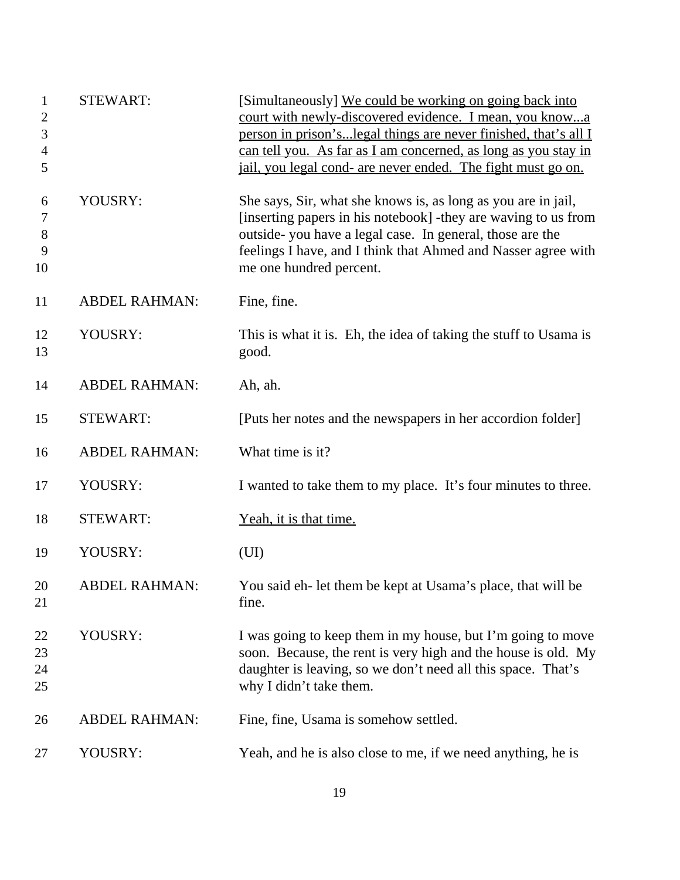| 1<br>$\overline{2}$<br>3<br>$\overline{4}$<br>5 | <b>STEWART:</b>      | [Simultaneously] We could be working on going back into<br>court with newly-discovered evidence. I mean, you knowa<br>person in prison's legal things are never finished, that's all I<br>can tell you. As far as I am concerned, as long as you stay in<br>jail, you legal cond- are never ended. The fight must go on. |
|-------------------------------------------------|----------------------|--------------------------------------------------------------------------------------------------------------------------------------------------------------------------------------------------------------------------------------------------------------------------------------------------------------------------|
| 6<br>7<br>8<br>9<br>10                          | YOUSRY:              | She says, Sir, what she knows is, as long as you are in jail,<br>[inserting papers in his notebook] -they are waving to us from<br>outside-you have a legal case. In general, those are the<br>feelings I have, and I think that Ahmed and Nasser agree with<br>me one hundred percent.                                  |
| 11                                              | <b>ABDEL RAHMAN:</b> | Fine, fine.                                                                                                                                                                                                                                                                                                              |
| 12<br>13                                        | YOUSRY:              | This is what it is. Eh, the idea of taking the stuff to Usama is<br>good.                                                                                                                                                                                                                                                |
| 14                                              | <b>ABDEL RAHMAN:</b> | Ah, ah.                                                                                                                                                                                                                                                                                                                  |
| 15                                              | <b>STEWART:</b>      | [Puts her notes and the newspapers in her accordion folder]                                                                                                                                                                                                                                                              |
| 16                                              | <b>ABDEL RAHMAN:</b> | What time is it?                                                                                                                                                                                                                                                                                                         |
| 17                                              | YOUSRY:              | I wanted to take them to my place. It's four minutes to three.                                                                                                                                                                                                                                                           |
| 18                                              | <b>STEWART:</b>      | Yeah, it is that time.                                                                                                                                                                                                                                                                                                   |
| 19                                              | YOUSRY:              | (UI)                                                                                                                                                                                                                                                                                                                     |
| 20<br>21                                        | <b>ABDEL RAHMAN:</b> | You said eh- let them be kept at Usama's place, that will be<br>fine.                                                                                                                                                                                                                                                    |
| 22<br>23<br>24<br>25                            | YOUSRY:              | I was going to keep them in my house, but I'm going to move<br>soon. Because, the rent is very high and the house is old. My<br>daughter is leaving, so we don't need all this space. That's<br>why I didn't take them.                                                                                                  |
| 26                                              | <b>ABDEL RAHMAN:</b> | Fine, fine, Usama is somehow settled.                                                                                                                                                                                                                                                                                    |
| 27                                              | YOUSRY:              | Yeah, and he is also close to me, if we need anything, he is                                                                                                                                                                                                                                                             |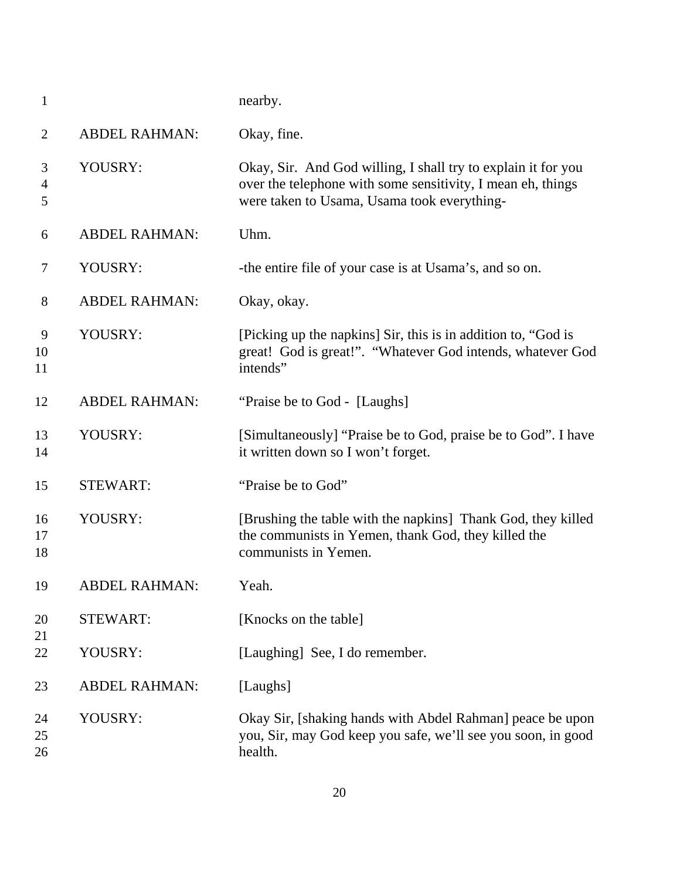| $\mathbf{1}$             |                      | nearby.                                                                                                                                                                     |
|--------------------------|----------------------|-----------------------------------------------------------------------------------------------------------------------------------------------------------------------------|
| $\overline{2}$           | <b>ABDEL RAHMAN:</b> | Okay, fine.                                                                                                                                                                 |
| 3<br>$\overline{4}$<br>5 | YOUSRY:              | Okay, Sir. And God willing, I shall try to explain it for you<br>over the telephone with some sensitivity, I mean eh, things<br>were taken to Usama, Usama took everything- |
| 6                        | <b>ABDEL RAHMAN:</b> | Uhm.                                                                                                                                                                        |
| $\tau$                   | YOUSRY:              | -the entire file of your case is at Usama's, and so on.                                                                                                                     |
| 8                        | <b>ABDEL RAHMAN:</b> | Okay, okay.                                                                                                                                                                 |
| 9<br>10<br>11            | YOUSRY:              | [Picking up the napkins] Sir, this is in addition to, "God is<br>great! God is great!". "Whatever God intends, whatever God<br>intends"                                     |
| 12                       | <b>ABDEL RAHMAN:</b> | "Praise be to God - [Laughs]                                                                                                                                                |
| 13<br>14                 | YOUSRY:              | [Simultaneously] "Praise be to God, praise be to God". I have<br>it written down so I won't forget.                                                                         |
| 15                       | <b>STEWART:</b>      | "Praise be to God"                                                                                                                                                          |
| 16<br>17<br>18           | YOUSRY:              | [Brushing the table with the napkins] Thank God, they killed<br>the communists in Yemen, thank God, they killed the<br>communists in Yemen.                                 |
| 19                       | <b>ABDEL RAHMAN:</b> | Yeah.                                                                                                                                                                       |
| 20<br>21                 | <b>STEWART:</b>      | [Knocks on the table]                                                                                                                                                       |
| 22                       | YOUSRY:              | [Laughing] See, I do remember.                                                                                                                                              |
| 23                       | <b>ABDEL RAHMAN:</b> | [Laughs]                                                                                                                                                                    |
| 24<br>25<br>26           | YOUSRY:              | Okay Sir, [shaking hands with Abdel Rahman] peace be upon<br>you, Sir, may God keep you safe, we'll see you soon, in good<br>health.                                        |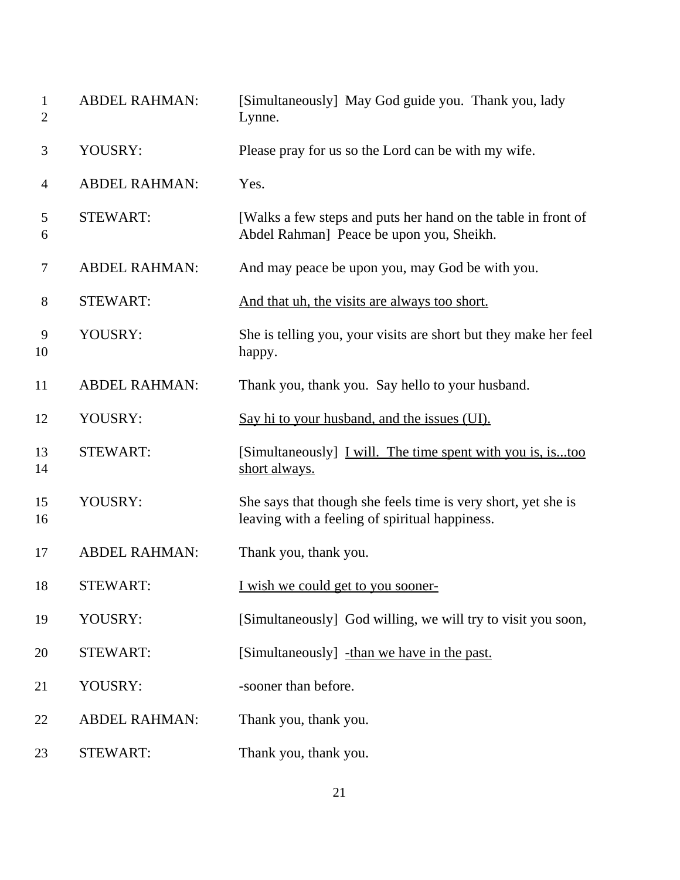| $\mathbf{1}$<br>$\mathbf{2}$ | <b>ABDEL RAHMAN:</b> | [Simultaneously] May God guide you. Thank you, lady<br>Lynne.                                                   |
|------------------------------|----------------------|-----------------------------------------------------------------------------------------------------------------|
| 3                            | YOUSRY:              | Please pray for us so the Lord can be with my wife.                                                             |
| 4                            | <b>ABDEL RAHMAN:</b> | Yes.                                                                                                            |
| 5<br>6                       | <b>STEWART:</b>      | [Walks a few steps and puts her hand on the table in front of<br>Abdel Rahman] Peace be upon you, Sheikh.       |
| $\tau$                       | <b>ABDEL RAHMAN:</b> | And may peace be upon you, may God be with you.                                                                 |
| $8\,$                        | <b>STEWART:</b>      | And that uh, the visits are always too short.                                                                   |
| 9<br>10                      | YOUSRY:              | She is telling you, your visits are short but they make her feel<br>happy.                                      |
| 11                           | <b>ABDEL RAHMAN:</b> | Thank you, thank you. Say hello to your husband.                                                                |
| 12                           | YOUSRY:              | Say hi to your husband, and the issues (UI).                                                                    |
| 13<br>14                     | <b>STEWART:</b>      | [Simultaneously] I will. The time spent with you is, istoo<br>short always.                                     |
| 15<br>16                     | YOUSRY:              | She says that though she feels time is very short, yet she is<br>leaving with a feeling of spiritual happiness. |
| 17                           | <b>ABDEL RAHMAN:</b> | Thank you, thank you.                                                                                           |
| 18                           | STEWART:             | <u>I wish we could get to you sooner-</u>                                                                       |
| 19                           | YOUSRY:              | [Simultaneously] God willing, we will try to visit you soon,                                                    |
| 20                           | <b>STEWART:</b>      | [Simultaneously] -than we have in the past.                                                                     |
| 21                           | YOUSRY:              | -sooner than before.                                                                                            |
| 22                           | <b>ABDEL RAHMAN:</b> | Thank you, thank you.                                                                                           |
| 23                           | <b>STEWART:</b>      | Thank you, thank you.                                                                                           |